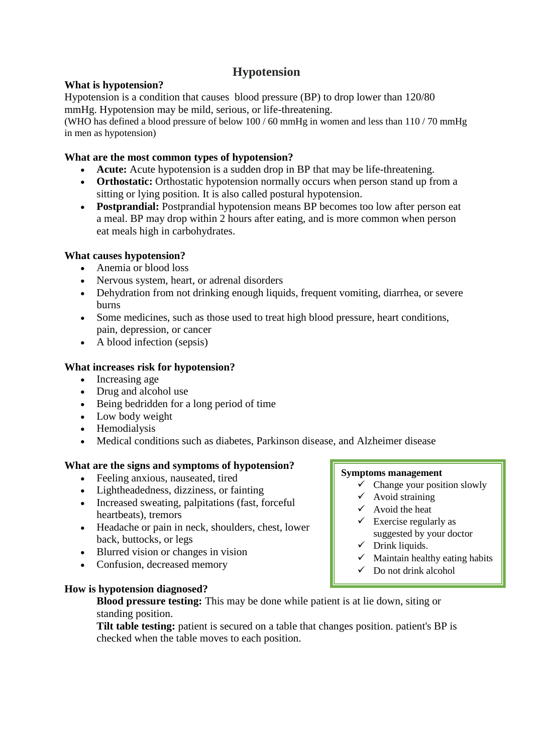# **Hypotension**

### **What is hypotension?**

Hypotension is a condition that causes blood pressure (BP) to drop lower than 120/80 mmHg. Hypotension may be mild, serious, or life-threatening.

(WHO has defined a blood pressure of below 100 / 60 mmHg in women and less than 110 / 70 mmHg in men as hypotension)

# **What are the most common types of hypotension?**

- **Acute:** Acute hypotension is a sudden drop in BP that may be life-threatening.
- **Orthostatic:** Orthostatic hypotension normally occurs when person stand up from a sitting or lying position. It is also called postural hypotension.
- **Postprandial:** Postprandial hypotension means BP becomes too low after person eat a meal. BP may drop within 2 hours after eating, and is more common when person eat meals high in carbohydrates.

# **What causes hypotension?**

- Anemia or blood loss
- Nervous system, heart, or adrenal disorders
- Dehydration from not drinking enough liquids, frequent vomiting, diarrhea, or severe burns
- Some medicines, such as those used to treat high blood pressure, heart conditions, pain, depression, or cancer
- A blood infection (sepsis)

# **What increases risk for hypotension?**

- Increasing age
- Drug and alcohol use
- Being bedridden for a long period of time
- Low body weight
- Hemodialysis
- Medical conditions such as diabetes, Parkinson disease, and Alzheimer disease

### **What are the signs and symptoms of hypotension?**

- Feeling anxious, nauseated, tired
- Lightheadedness, dizziness, or fainting
- Increased sweating, palpitations (fast, forceful heartbeats), tremors
- Headache or pain in neck, shoulders, chest, lower back, buttocks, or legs
- Blurred vision or changes in vision
- Confusion, decreased memory

### **How is hypotension diagnosed?**

# **Blood pressure testing:** This may be done while patient is at lie down, siting or standing position.

**Tilt table testing:** patient is secured on a table that changes position. patient's BP is checked when the table moves to each position.

#### **Symptoms management**

- $\checkmark$  Change your position slowly
- $\checkmark$  Avoid straining
- $\checkmark$  Avoid the heat
- $\checkmark$  Exercise regularly as suggested by your doctor
- $\checkmark$  Drink liquids.
- $\checkmark$  Maintain healthy eating habits
- $\checkmark$  Do not drink alcohol